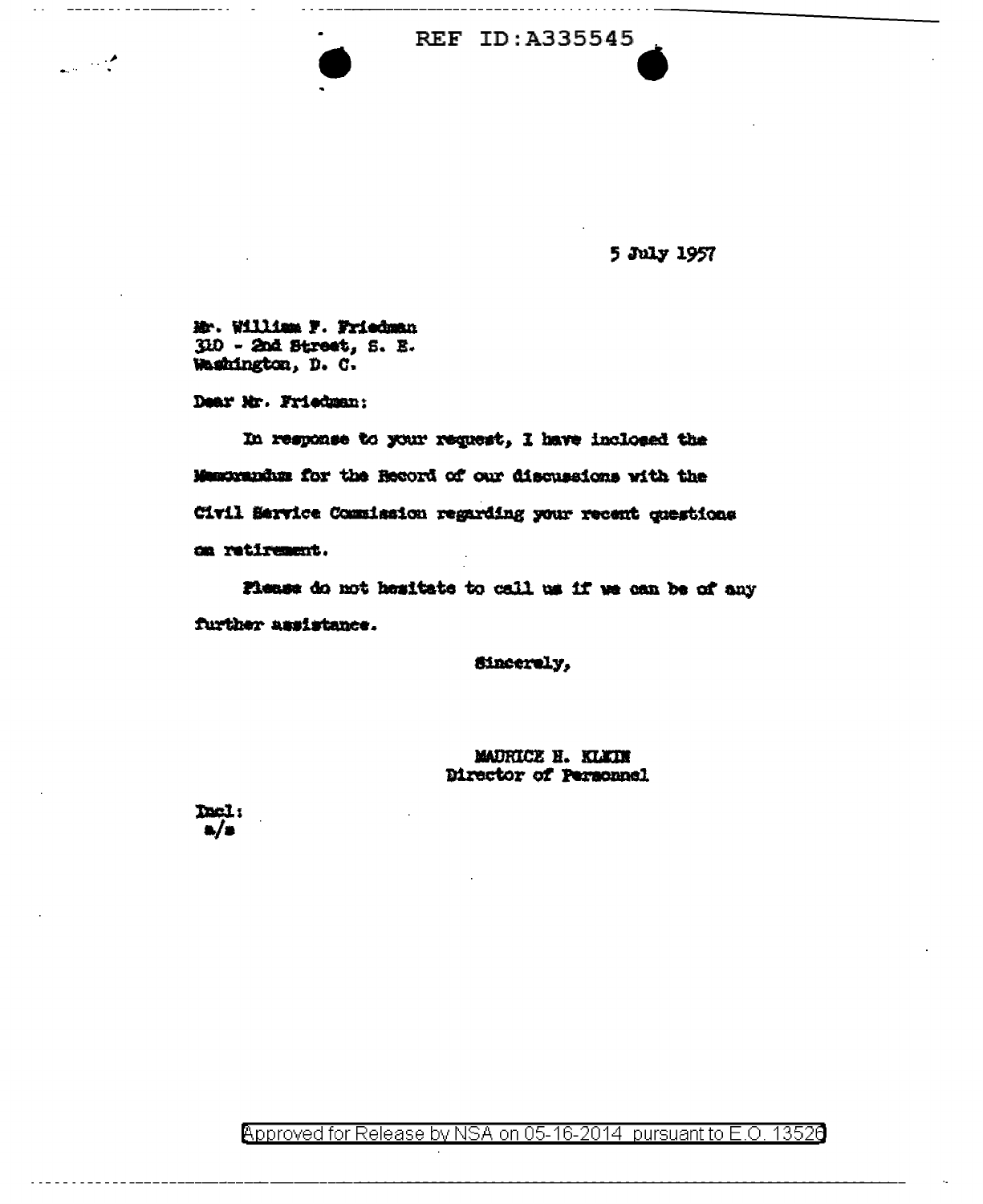## REF ID:A335545

5 July 1957

Mr. William F. Friedman 310 - 2nd Street, S. E. Washington, D. C.

Dear Mr. Friedman:

 $\mathcal{L} = \mathcal{L}$ 

In response to your request, I have inclosed the Memorandum for the Record of our discussions with the Civil Service Commission regarding your recent questions on retirement.

Flease do not hesitate to call us if we can be of any further assistance.

Sincerely,

MADRICE H. KLYIN Director of Personnel

Del:

Approved for Release by NSA on 05-16-2014 pursuant to E.O. 13526